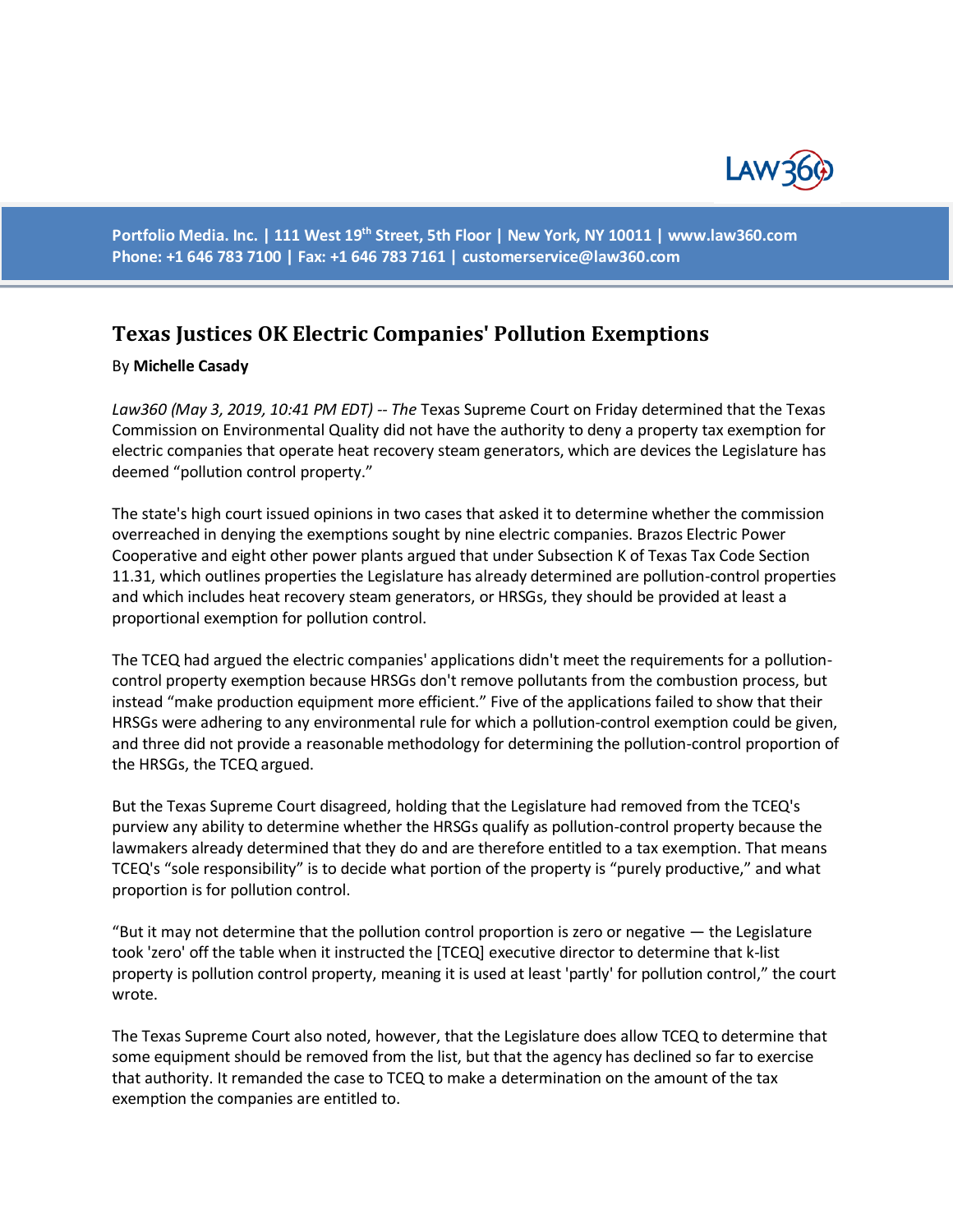

**Portfolio Media. Inc. | 111 West 19th Street, 5th Floor | New York, NY 10011 | www.law360.com Phone: +1 646 783 7100 | Fax: +1 646 783 7161 | [customerservice@law360.com](mailto:customerservice@law360.com)**

## **Texas Justices OK Electric Companies' Pollution Exemptions**

## By **Michelle Casady**

*Law360 (May 3, 2019, 10:41 PM EDT) -- The* Texas Supreme Court on Friday determined that the Texas Commission on Environmental Quality did not have the authority to deny a property tax exemption for electric companies that operate heat recovery steam generators, which are devices the Legislature has deemed "pollution control property."

The state's high court issued opinions in two cases that asked it to determine whether the commission overreached in denying the exemptions sought by nine electric companies. Brazos Electric Power Cooperative and eight other power plants argued that under Subsection K of Texas Tax Code Section 11.31, which outlines properties the Legislature has already determined are pollution-control properties and which includes heat recovery steam generators, or HRSGs, they should be provided at least a proportional exemption for pollution control.

The TCEQ had argued the electric companies' applications didn't meet the requirements for a pollutioncontrol property exemption because HRSGs don't remove pollutants from the combustion process, but instead "make production equipment more efficient." Five of the applications failed to show that their HRSGs were adhering to any environmental rule for which a pollution-control exemption could be given, and three did not provide a reasonable methodology for determining the pollution-control proportion of the HRSGs, the TCEQ argued.

But the Texas Supreme Court disagreed, holding that the Legislature had removed from the TCEQ's purview any ability to determine whether the HRSGs qualify as pollution-control property because the lawmakers already determined that they do and are therefore entitled to a tax exemption. That means TCEQ's "sole responsibility" is to decide what portion of the property is "purely productive," and what proportion is for pollution control.

"But it may not determine that the pollution control proportion is zero or negative — the Legislature took 'zero' off the table when it instructed the [TCEQ] executive director to determine that k-list property is pollution control property, meaning it is used at least 'partly' for pollution control," the court wrote.

The Texas Supreme Court also noted, however, that the Legislature does allow TCEQ to determine that some equipment should be removed from the list, but that the agency has declined so far to exercise that authority. It remanded the case to TCEQ to make a determination on the amount of the tax exemption the companies are entitled to.